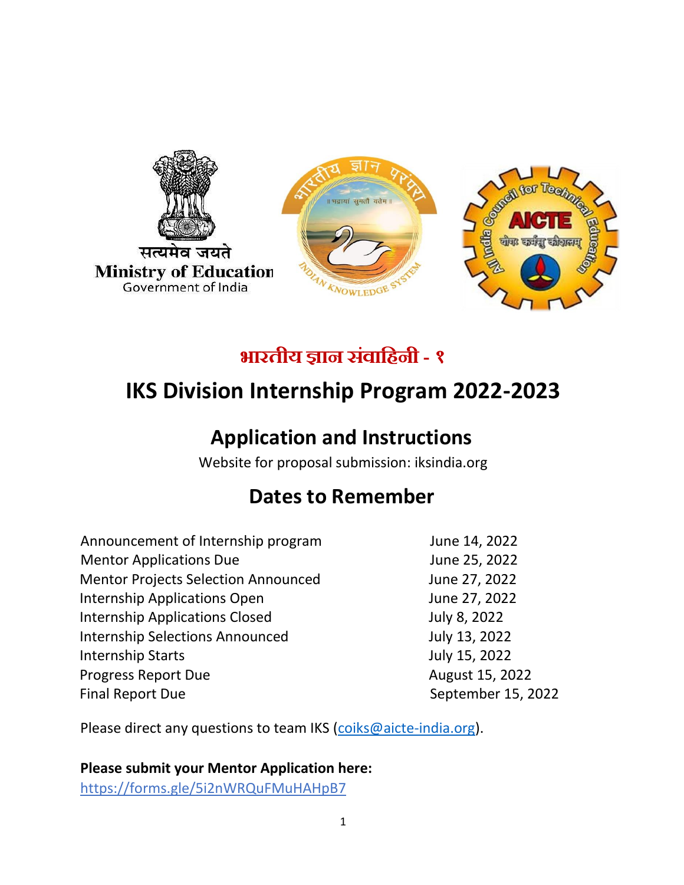

# **भारतीय ज्ञान संवाहिनी - १**

# **IKS Division Internship Program 2022-2023**

# **Application and Instructions**

Website for proposal submission: iksindia.org

## **Dates to Remember**

Announcement of Internship program June 14, 2022 Mentor Applications Due June 25, 2022 Mentor Projects Selection Announced June 27, 2022 Internship Applications Open June 27, 2022 Internship Applications Closed July 8, 2022 Internship Selections Announced July 13, 2022 Internship Starts July 15, 2022 Progress Report Due **August 15, 2022** Final Report Due **September 15, 2022** 

Please direct any questions to team IKS [\(coiks@aicte-india.org\)](mailto:coiks@aicte-india.org).

## **Please submit your Mentor Application here:**

https://forms.gle/5i2nWRQuFMuHAHpB7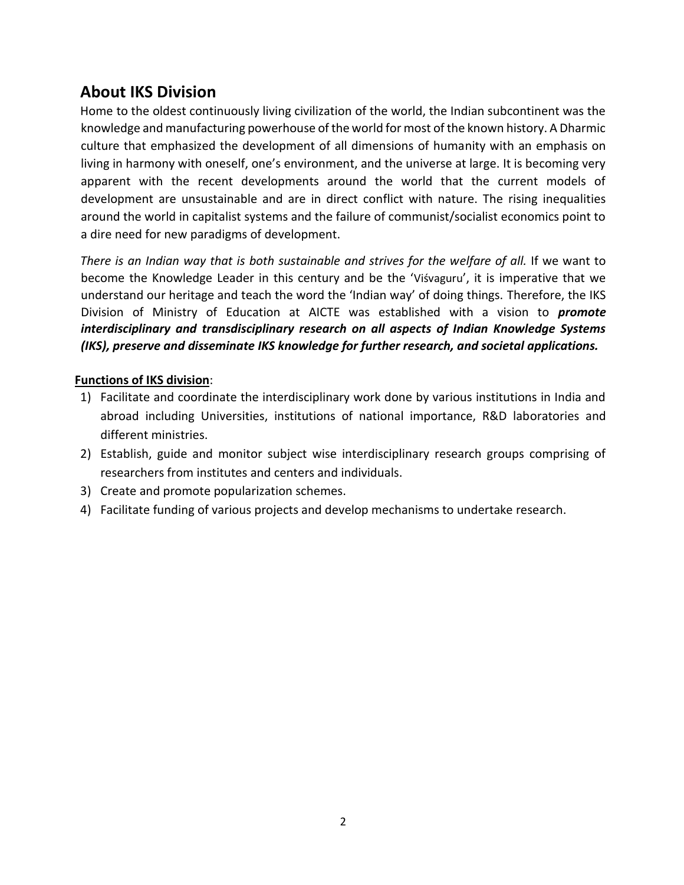## **About IKS Division**

Home to the oldest continuously living civilization of the world, the Indian subcontinent was the knowledge and manufacturing powerhouse of the world for most of the known history. A Dharmic culture that emphasized the development of all dimensions of humanity with an emphasis on living in harmony with oneself, one's environment, and the universe at large. It is becoming very apparent with the recent developments around the world that the current models of development are unsustainable and are in direct conflict with nature. The rising inequalities around the world in capitalist systems and the failure of communist/socialist economics point to a dire need for new paradigms of development.

There is an Indian way that is both sustainable and strives for the welfare of all. If we want to become the Knowledge Leader in this century and be the 'Viśvaguru', it is imperative that we understand our heritage and teach the word the 'Indian way' of doing things. Therefore, the IKS Division of Ministry of Education at AICTE was established with a vision to *promote interdisciplinary and transdisciplinary research on all aspects of Indian Knowledge Systems (IKS), preserve and disseminate IKS knowledge for further research, and societal applications.*

## **Functions of IKS division**:

- 1) Facilitate and coordinate the interdisciplinary work done by various institutions in India and abroad including Universities, institutions of national importance, R&D laboratories and different ministries.
- 2) Establish, guide and monitor subject wise interdisciplinary research groups comprising of researchers from institutes and centers and individuals.
- 3) Create and promote popularization schemes.
- 4) Facilitate funding of various projects and develop mechanisms to undertake research.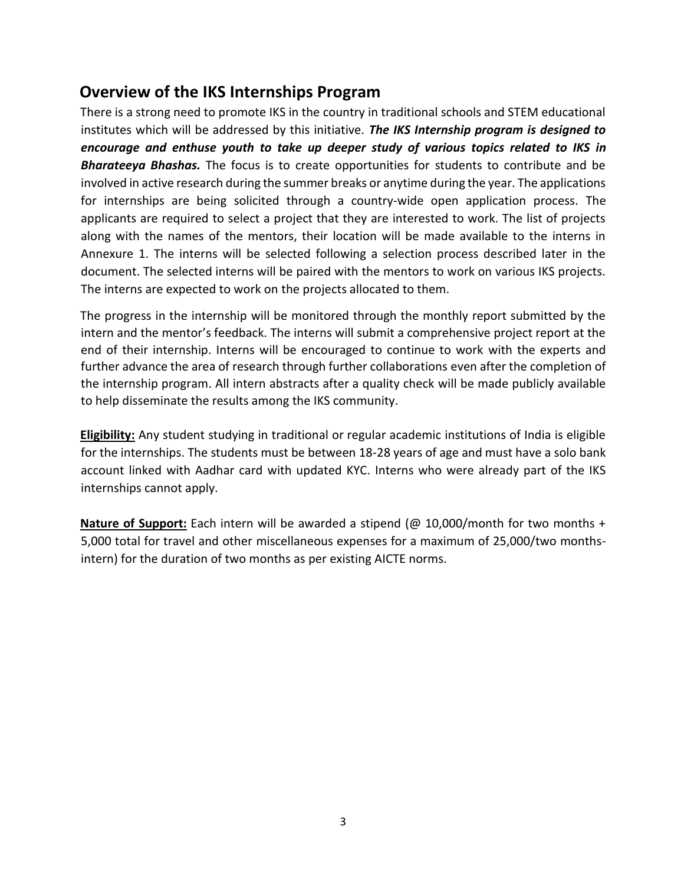## **Overview of the IKS Internships Program**

There is a strong need to promote IKS in the country in traditional schools and STEM educational institutes which will be addressed by this initiative. *The IKS Internship program is designed to encourage and enthuse youth to take up deeper study of various topics related to IKS in Bharateeya Bhashas.* The focus is to create opportunities for students to contribute and be involved in active research during the summer breaks or anytime during the year. The applications for internships are being solicited through a country-wide open application process. The applicants are required to select a project that they are interested to work. The list of projects along with the names of the mentors, their location will be made available to the interns in Annexure 1. The interns will be selected following a selection process described later in the document. The selected interns will be paired with the mentors to work on various IKS projects. The interns are expected to work on the projects allocated to them.

The progress in the internship will be monitored through the monthly report submitted by the intern and the mentor's feedback. The interns will submit a comprehensive project report at the end of their internship. Interns will be encouraged to continue to work with the experts and further advance the area of research through further collaborations even after the completion of the internship program. All intern abstracts after a quality check will be made publicly available to help disseminate the results among the IKS community.

**Eligibility:** Any student studying in traditional or regular academic institutions of India is eligible for the internships. The students must be between 18-28 years of age and must have a solo bank account linked with Aadhar card with updated KYC. Interns who were already part of the IKS internships cannot apply.

**Nature of Support:** Each intern will be awarded a stipend (@ 10,000/month for two months + 5,000 total for travel and other miscellaneous expenses for a maximum of 25,000/two monthsintern) for the duration of two months as per existing AICTE norms.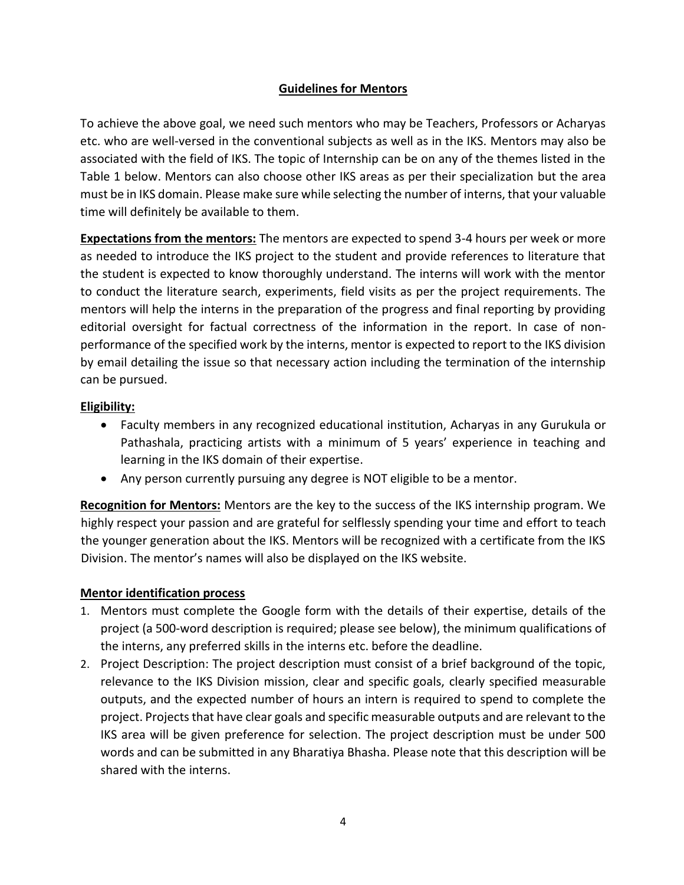## **Guidelines for Mentors**

To achieve the above goal, we need such mentors who may be Teachers, Professors or Acharyas etc. who are well-versed in the conventional subjects as well as in the IKS. Mentors may also be associated with the field of IKS. The topic of Internship can be on any of the themes listed in the Table 1 below. Mentors can also choose other IKS areas as per their specialization but the area must be in IKS domain. Please make sure while selecting the number of interns, that your valuable time will definitely be available to them.

**Expectations from the mentors:** The mentors are expected to spend 3-4 hours per week or more as needed to introduce the IKS project to the student and provide references to literature that the student is expected to know thoroughly understand. The interns will work with the mentor to conduct the literature search, experiments, field visits as per the project requirements. The mentors will help the interns in the preparation of the progress and final reporting by providing editorial oversight for factual correctness of the information in the report. In case of nonperformance of the specified work by the interns, mentor is expected to report to the IKS division by email detailing the issue so that necessary action including the termination of the internship can be pursued.

## **Eligibility:**

- Faculty members in any recognized educational institution, Acharyas in any Gurukula or Pathashala, practicing artists with a minimum of 5 years' experience in teaching and learning in the IKS domain of their expertise.
- Any person currently pursuing any degree is NOT eligible to be a mentor.

**Recognition for Mentors:** Mentors are the key to the success of the IKS internship program. We highly respect your passion and are grateful for selflessly spending your time and effort to teach the younger generation about the IKS. Mentors will be recognized with a certificate from the IKS Division. The mentor's names will also be displayed on the IKS website.

## **Mentor identification process**

- 1. Mentors must complete the Google form with the details of their expertise, details of the project (a 500-word description is required; please see below), the minimum qualifications of the interns, any preferred skills in the interns etc. before the deadline.
- 2. Project Description: The project description must consist of a brief background of the topic, relevance to the IKS Division mission, clear and specific goals, clearly specified measurable outputs, and the expected number of hours an intern is required to spend to complete the project. Projects that have clear goals and specific measurable outputs and are relevant to the IKS area will be given preference for selection. The project description must be under 500 words and can be submitted in any Bharatiya Bhasha. Please note that this description will be shared with the interns.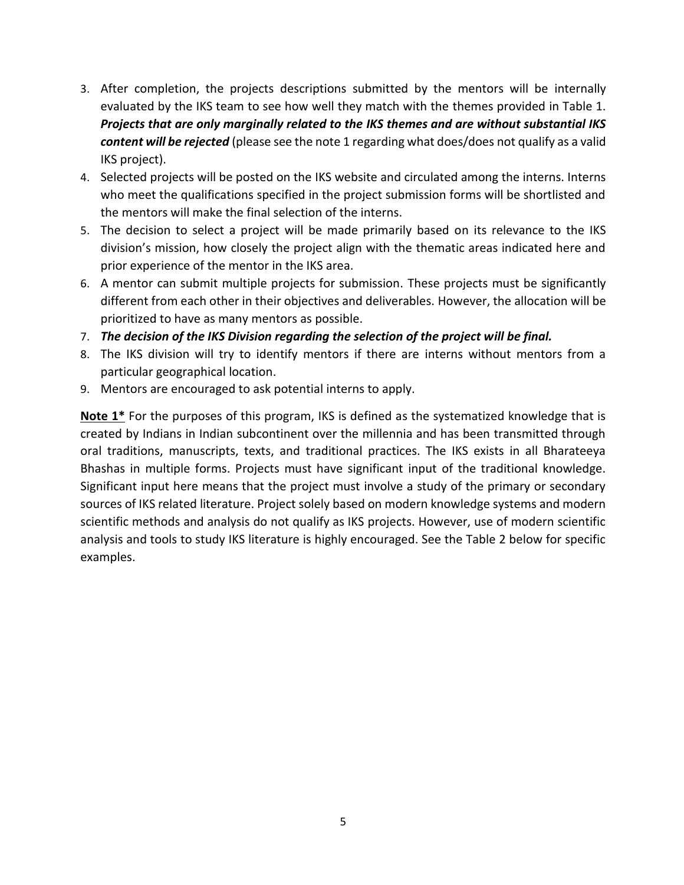- 3. After completion, the projects descriptions submitted by the mentors will be internally evaluated by the IKS team to see how well they match with the themes provided in Table 1. *Projects that are only marginally related to the IKS themes and are without substantial IKS content will be rejected* (please see the note 1 regarding what does/does not qualify as a valid IKS project).
- 4. Selected projects will be posted on the IKS website and circulated among the interns. Interns who meet the qualifications specified in the project submission forms will be shortlisted and the mentors will make the final selection of the interns.
- 5. The decision to select a project will be made primarily based on its relevance to the IKS division's mission, how closely the project align with the thematic areas indicated here and prior experience of the mentor in the IKS area.
- 6. A mentor can submit multiple projects for submission. These projects must be significantly different from each other in their objectives and deliverables. However, the allocation will be prioritized to have as many mentors as possible.
- 7. *The decision of the IKS Division regarding the selection of the project will be final.*
- 8. The IKS division will try to identify mentors if there are interns without mentors from a particular geographical location.
- 9. Mentors are encouraged to ask potential interns to apply.

**Note 1\*** For the purposes of this program, IKS is defined as the systematized knowledge that is created by Indians in Indian subcontinent over the millennia and has been transmitted through oral traditions, manuscripts, texts, and traditional practices. The IKS exists in all Bharateeya Bhashas in multiple forms. Projects must have significant input of the traditional knowledge. Significant input here means that the project must involve a study of the primary or secondary sources of IKS related literature. Project solely based on modern knowledge systems and modern scientific methods and analysis do not qualify as IKS projects. However, use of modern scientific analysis and tools to study IKS literature is highly encouraged. See the Table 2 below for specific examples.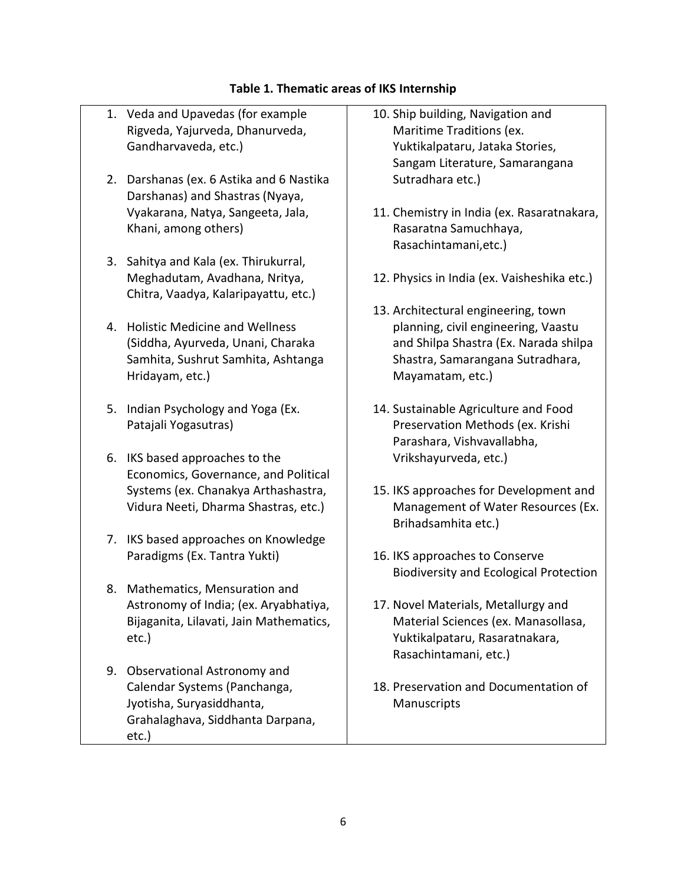### **Table 1. Thematic areas of IKS Internship**

- 1. Veda and Upavedas (for example Rigveda, Yajurveda, Dhanurveda, Gandharvaveda, etc.)
- 2. Darshanas (ex. 6 Astika and 6 Nastika Darshanas) and Shastras (Nyaya, Vyakarana, Natya, Sangeeta, Jala, Khani, among others)
- 3. Sahitya and Kala (ex. Thirukurral, Meghadutam, Avadhana, Nritya, Chitra, Vaadya, Kalaripayattu, etc.)
- 4. Holistic Medicine and Wellness (Siddha, Ayurveda, Unani, Charaka Samhita, Sushrut Samhita, Ashtanga Hridayam, etc.)
- 5. Indian Psychology and Yoga (Ex. Patajali Yogasutras)
- 6. IKS based approaches to the Economics, Governance, and Political Systems (ex. Chanakya Arthashastra, Vidura Neeti, Dharma Shastras, etc.)
- 7. IKS based approaches on Knowledge Paradigms (Ex. Tantra Yukti)
- 8. Mathematics, Mensuration and Astronomy of India; (ex. Aryabhatiya, Bijaganita, Lilavati, Jain Mathematics, etc.)
- 9. Observational Astronomy and Calendar Systems (Panchanga, Jyotisha, Suryasiddhanta, Grahalaghava, Siddhanta Darpana, etc.)
- 10. Ship building, Navigation and Maritime Traditions (ex. Yuktikalpataru, Jataka Stories, Sangam Literature, Samarangana Sutradhara etc.)
- 11. Chemistry in India (ex. Rasaratnakara, Rasaratna Samuchhaya, Rasachintamani,etc.)
- 12. Physics in India (ex. Vaisheshika etc.)
- 13. Architectural engineering, town planning, civil engineering, Vaastu and Shilpa Shastra (Ex. Narada shilpa Shastra, Samarangana Sutradhara, Mayamatam, etc.)
- 14. Sustainable Agriculture and Food Preservation Methods (ex. Krishi Parashara, Vishvavallabha, Vrikshayurveda, etc.)
- 15. IKS approaches for Development and Management of Water Resources (Ex. Brihadsamhita etc.)
- 16. IKS approaches to Conserve Biodiversity and Ecological Protection
- 17. Novel Materials, Metallurgy and Material Sciences (ex. Manasollasa, Yuktikalpataru, Rasaratnakara, Rasachintamani, etc.)
- 18. Preservation and Documentation of Manuscripts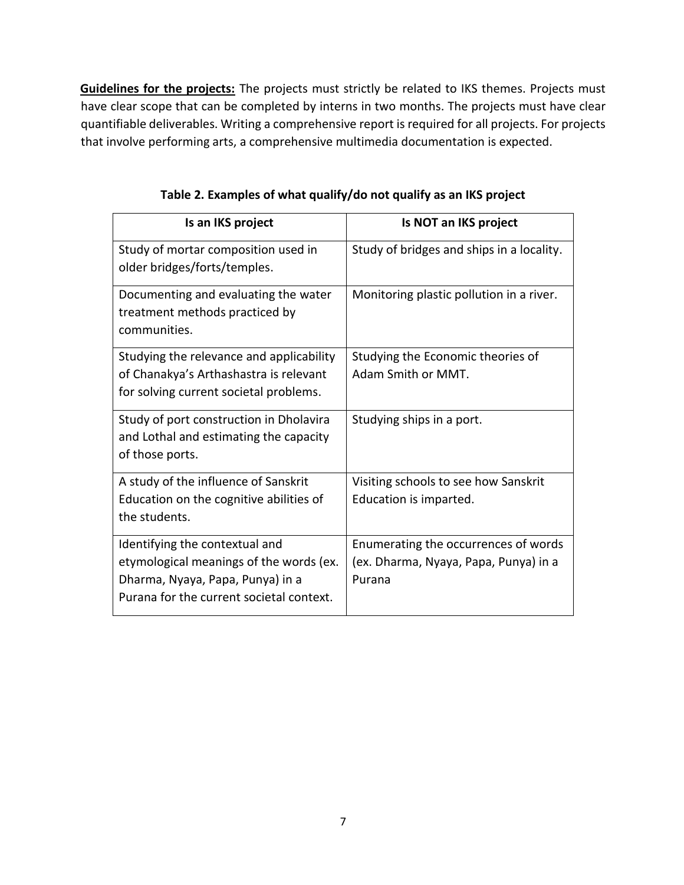**Guidelines for the projects:** The projects must strictly be related to IKS themes. Projects must have clear scope that can be completed by interns in two months. The projects must have clear quantifiable deliverables. Writing a comprehensive report is required for all projects. For projects that involve performing arts, a comprehensive multimedia documentation is expected.

| Is an IKS project                                                                                                                                         | Is NOT an IKS project                                                                   |
|-----------------------------------------------------------------------------------------------------------------------------------------------------------|-----------------------------------------------------------------------------------------|
| Study of mortar composition used in<br>older bridges/forts/temples.                                                                                       | Study of bridges and ships in a locality.                                               |
| Documenting and evaluating the water<br>treatment methods practiced by<br>communities.                                                                    | Monitoring plastic pollution in a river.                                                |
| Studying the relevance and applicability<br>of Chanakya's Arthashastra is relevant<br>for solving current societal problems.                              | Studying the Economic theories of<br>Adam Smith or MMT.                                 |
| Study of port construction in Dholavira<br>and Lothal and estimating the capacity<br>of those ports.                                                      | Studying ships in a port.                                                               |
| A study of the influence of Sanskrit<br>Education on the cognitive abilities of<br>the students.                                                          | Visiting schools to see how Sanskrit<br>Education is imparted.                          |
| Identifying the contextual and<br>etymological meanings of the words (ex.<br>Dharma, Nyaya, Papa, Punya) in a<br>Purana for the current societal context. | Enumerating the occurrences of words<br>(ex. Dharma, Nyaya, Papa, Punya) in a<br>Purana |

**Table 2. Examples of what qualify/do not qualify as an IKS project**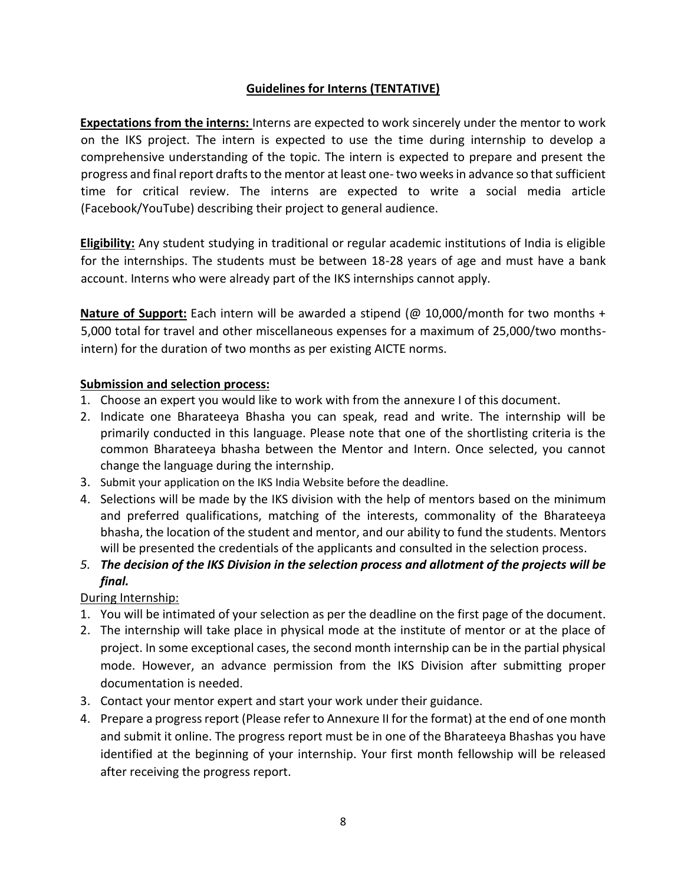## **Guidelines for Interns (TENTATIVE)**

**Expectations from the interns:** Interns are expected to work sincerely under the mentor to work on the IKS project. The intern is expected to use the time during internship to develop a comprehensive understanding of the topic. The intern is expected to prepare and present the progress and final report drafts to the mentor at least one- two weeks in advance so that sufficient time for critical review. The interns are expected to write a social media article (Facebook/YouTube) describing their project to general audience.

**Eligibility:** Any student studying in traditional or regular academic institutions of India is eligible for the internships. The students must be between 18-28 years of age and must have a bank account. Interns who were already part of the IKS internships cannot apply.

**Nature of Support:** Each intern will be awarded a stipend (@ 10,000/month for two months + 5,000 total for travel and other miscellaneous expenses for a maximum of 25,000/two monthsintern) for the duration of two months as per existing AICTE norms.

### **Submission and selection process:**

- 1. Choose an expert you would like to work with from the annexure I of this document.
- 2. Indicate one Bharateeya Bhasha you can speak, read and write. The internship will be primarily conducted in this language. Please note that one of the shortlisting criteria is the common Bharateeya bhasha between the Mentor and Intern. Once selected, you cannot change the language during the internship.
- 3. Submit your application on the IKS India Website before the deadline.
- 4. Selections will be made by the IKS division with the help of mentors based on the minimum and preferred qualifications, matching of the interests, commonality of the Bharateeya bhasha, the location of the student and mentor, and our ability to fund the students. Mentors will be presented the credentials of the applicants and consulted in the selection process.
- *5. The decision of the IKS Division in the selection process and allotment of the projects will be final.*

During Internship:

- 1. You will be intimated of your selection as per the deadline on the first page of the document.
- 2. The internship will take place in physical mode at the institute of mentor or at the place of project. In some exceptional cases, the second month internship can be in the partial physical mode. However, an advance permission from the IKS Division after submitting proper documentation is needed.
- 3. Contact your mentor expert and start your work under their guidance.
- 4. Prepare a progress report (Please refer to Annexure II for the format) at the end of one month and submit it online. The progress report must be in one of the Bharateeya Bhashas you have identified at the beginning of your internship. Your first month fellowship will be released after receiving the progress report.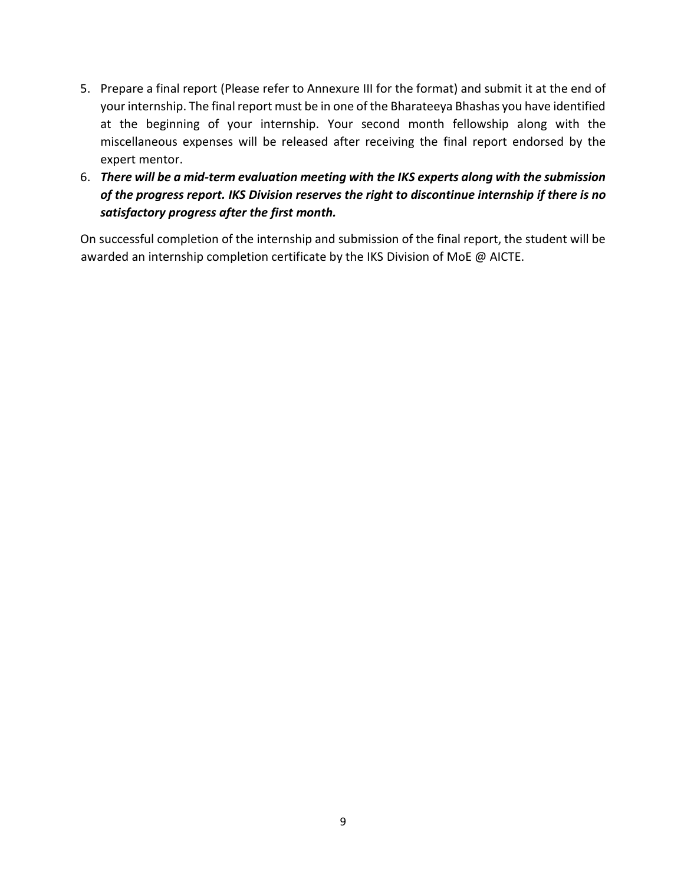- 5. Prepare a final report (Please refer to Annexure III for the format) and submit it at the end of your internship. The final report must be in one of the Bharateeya Bhashas you have identified at the beginning of your internship. Your second month fellowship along with the miscellaneous expenses will be released after receiving the final report endorsed by the expert mentor.
- 6. *There will be a mid-term evaluation meeting with the IKS experts along with the submission of the progress report. IKS Division reserves the right to discontinue internship if there is no satisfactory progress after the first month.*

On successful completion of the internship and submission of the final report, the student will be awarded an internship completion certificate by the IKS Division of MoE @ AICTE.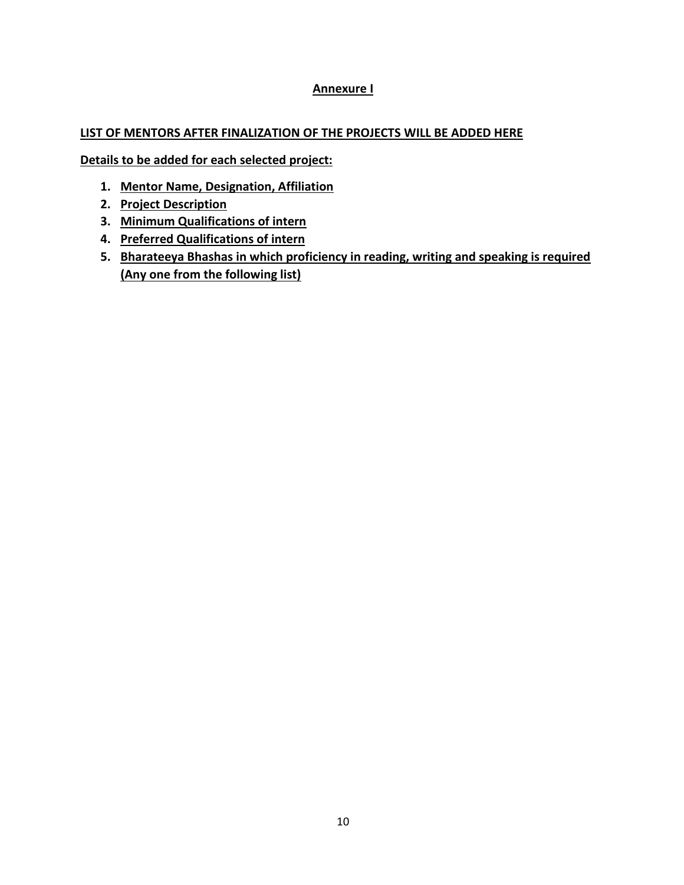## **Annexure I**

## **LIST OF MENTORS AFTER FINALIZATION OF THE PROJECTS WILL BE ADDED HERE**

**Details to be added for each selected project:** 

- **1. Mentor Name, Designation, Affiliation**
- **2. Project Description**
- **3. Minimum Qualifications of intern**
- **4. Preferred Qualifications of intern**
- **5. Bharateeya Bhashas in which proficiency in reading, writing and speaking is required (Any one from the following list)**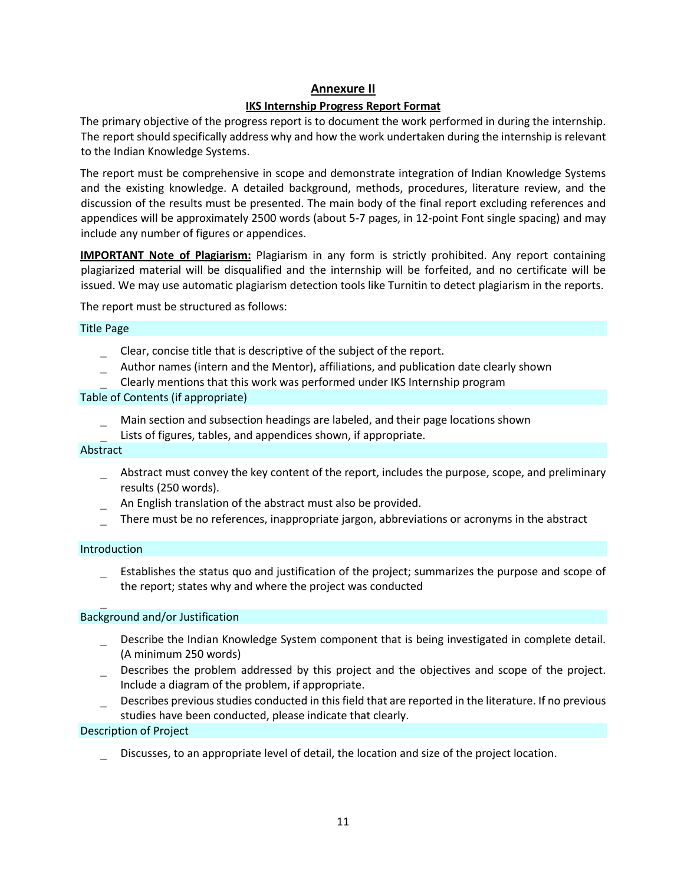#### **Annexure II**

#### **IKS Internship Progress Report Format**

The primary objective of the progress report is to document the work performed in during the internship. The report should specifically address why and how the work undertaken during the internship is relevant to the Indian Knowledge Systems.

The report must be comprehensive in scope and demonstrate integration of Indian Knowledge Systems and the existing knowledge. A detailed background, methods, procedures, literature review, and the discussion of the results must be presented. The main body of the final report excluding references and appendices will be approximately 2500 words (about 5-7 pages, in 12-point Font single spacing) and may include any number of figures or appendices.

**IMPORTANT Note of Plagiarism:** Plagiarism in any form is strictly prohibited. Any report containing plagiarized material will be disqualified and the internship will be forfeited, and no certificate will be issued. We may use automatic plagiarism detection tools like Turnitin to detect plagiarism in the reports.

The report must be structured as follows:

#### Title Page

- Clear, concise title that is descriptive of the subject of the report.
- Author names (intern and the Mentor), affiliations, and publication date clearly shown
- Clearly mentions that this work was performed under IKS Internship program

#### Table of Contents (if appropriate)

- Main section and subsection headings are labeled, and their page locations shown
- Lists of figures, tables, and appendices shown, if appropriate.

#### Abstract

- Abstract must convey the key content of the report, includes the purpose, scope, and preliminary results (250 words).
- An English translation of the abstract must also be provided.
- There must be no references, inappropriate jargon, abbreviations or acronyms in the abstract

#### Introduction

 Establishes the status quo and justification of the project; summarizes the purpose and scope of the report; states why and where the project was conducted

#### Background and/or Justification

- Describe the Indian Knowledge System component that is being investigated in complete detail. (A minimum 250 words)
- Describes the problem addressed by this project and the objectives and scope of the project. Include a diagram of the problem, if appropriate.
- Describes previous studies conducted in this field that are reported in the literature. If no previous studies have been conducted, please indicate that clearly.

#### Description of Project

Discusses, to an appropriate level of detail, the location and size of the project location.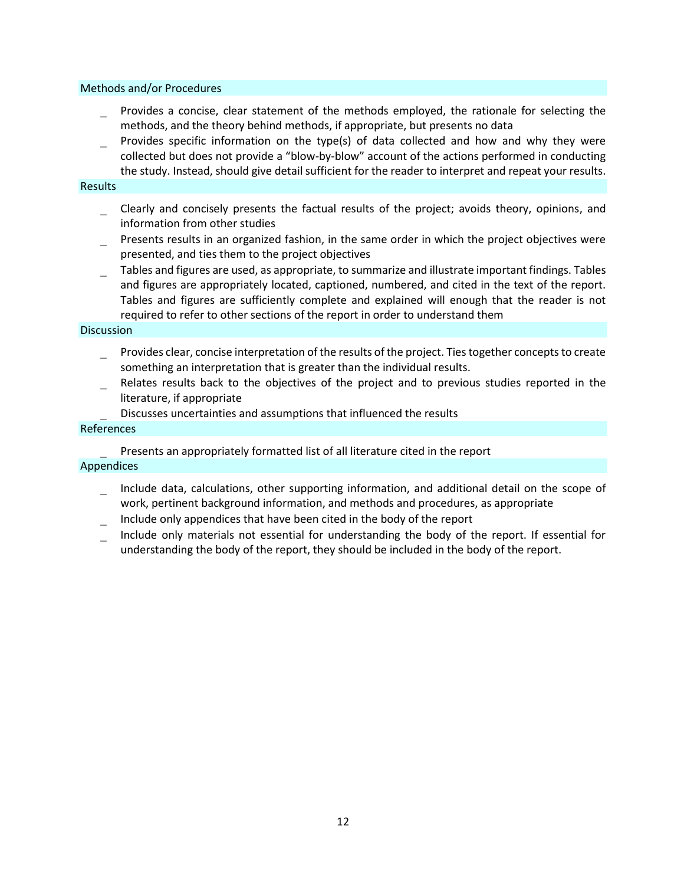#### Methods and/or Procedures

- Provides a concise, clear statement of the methods employed, the rationale for selecting the methods, and the theory behind methods, if appropriate, but presents no data
- Provides specific information on the type(s) of data collected and how and why they were collected but does not provide a "blow-by-blow" account of the actions performed in conducting the study. Instead, should give detail sufficient for the reader to interpret and repeat your results.

#### **Results**

- Clearly and concisely presents the factual results of the project; avoids theory, opinions, and information from other studies
- Presents results in an organized fashion, in the same order in which the project objectives were presented, and ties them to the project objectives
- Tables and figures are used, as appropriate, to summarize and illustrate important findings. Tables and figures are appropriately located, captioned, numbered, and cited in the text of the report. Tables and figures are sufficiently complete and explained will enough that the reader is not required to refer to other sections of the report in order to understand them

#### **Discussion**

- Provides clear, concise interpretation of the results of the project. Ties together concepts to create something an interpretation that is greater than the individual results.
- Relates results back to the objectives of the project and to previous studies reported in the literature, if appropriate
	- Discusses uncertainties and assumptions that influenced the results

#### References

Presents an appropriately formatted list of all literature cited in the report

#### Appendices

- Include data, calculations, other supporting information, and additional detail on the scope of work, pertinent background information, and methods and procedures, as appropriate
- Include only appendices that have been cited in the body of the report
- Include only materials not essential for understanding the body of the report. If essential for understanding the body of the report, they should be included in the body of the report.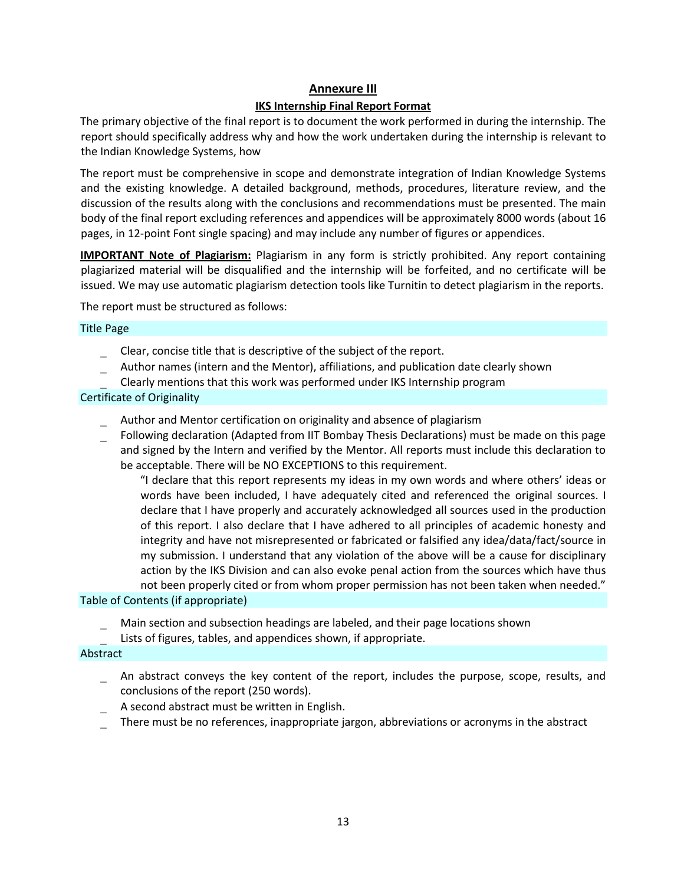### **Annexure III**

#### **IKS Internship Final Report Format**

The primary objective of the final report is to document the work performed in during the internship. The report should specifically address why and how the work undertaken during the internship is relevant to the Indian Knowledge Systems, how

The report must be comprehensive in scope and demonstrate integration of Indian Knowledge Systems and the existing knowledge. A detailed background, methods, procedures, literature review, and the discussion of the results along with the conclusions and recommendations must be presented. The main body of the final report excluding references and appendices will be approximately 8000 words (about 16 pages, in 12-point Font single spacing) and may include any number of figures or appendices.

**IMPORTANT Note of Plagiarism:** Plagiarism in any form is strictly prohibited. Any report containing plagiarized material will be disqualified and the internship will be forfeited, and no certificate will be issued. We may use automatic plagiarism detection tools like Turnitin to detect plagiarism in the reports.

The report must be structured as follows:

#### Title Page

- Clear, concise title that is descriptive of the subject of the report.
- Author names (intern and the Mentor), affiliations, and publication date clearly shown Clearly mentions that this work was performed under IKS Internship program

#### Certificate of Originality

- Author and Mentor certification on originality and absence of plagiarism
- Following declaration (Adapted from IIT Bombay Thesis Declarations) must be made on this page and signed by the Intern and verified by the Mentor. All reports must include this declaration to be acceptable. There will be NO EXCEPTIONS to this requirement.

"I declare that this report represents my ideas in my own words and where others' ideas or words have been included, I have adequately cited and referenced the original sources. I declare that I have properly and accurately acknowledged all sources used in the production of this report. I also declare that I have adhered to all principles of academic honesty and integrity and have not misrepresented or fabricated or falsified any idea/data/fact/source in my submission. I understand that any violation of the above will be a cause for disciplinary action by the IKS Division and can also evoke penal action from the sources which have thus not been properly cited or from whom proper permission has not been taken when needed."

#### Table of Contents (if appropriate)

- Main section and subsection headings are labeled, and their page locations shown
- Lists of figures, tables, and appendices shown, if appropriate.

#### Abstract

- An abstract conveys the key content of the report, includes the purpose, scope, results, and conclusions of the report (250 words).
- A second abstract must be written in English.
- There must be no references, inappropriate jargon, abbreviations or acronyms in the abstract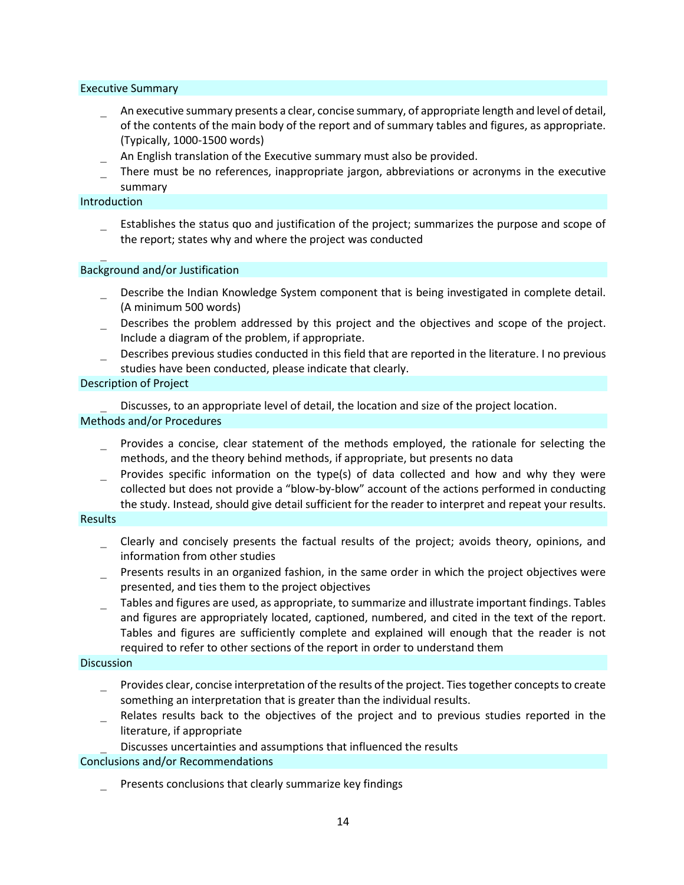#### Executive Summary

- An executive summary presents a clear, concise summary, of appropriate length and level of detail, of the contents of the main body of the report and of summary tables and figures, as appropriate. (Typically, 1000-1500 words)
- An English translation of the Executive summary must also be provided.
- There must be no references, inappropriate jargon, abbreviations or acronyms in the executive summary

#### Introduction

 Establishes the status quo and justification of the project; summarizes the purpose and scope of the report; states why and where the project was conducted

#### Background and/or Justification

- Describe the Indian Knowledge System component that is being investigated in complete detail. (A minimum 500 words)
- Describes the problem addressed by this project and the objectives and scope of the project. Include a diagram of the problem, if appropriate.
- Describes previous studies conducted in this field that are reported in the literature. I no previous studies have been conducted, please indicate that clearly.

#### Description of Project

 Discusses, to an appropriate level of detail, the location and size of the project location. Methods and/or Procedures

- Provides a concise, clear statement of the methods employed, the rationale for selecting the methods, and the theory behind methods, if appropriate, but presents no data
- Provides specific information on the type(s) of data collected and how and why they were collected but does not provide a "blow-by-blow" account of the actions performed in conducting the study. Instead, should give detail sufficient for the reader to interpret and repeat your results.

#### **Results**

- Clearly and concisely presents the factual results of the project; avoids theory, opinions, and information from other studies
- Presents results in an organized fashion, in the same order in which the project objectives were presented, and ties them to the project objectives
- Tables and figures are used, as appropriate, to summarize and illustrate important findings. Tables and figures are appropriately located, captioned, numbered, and cited in the text of the report. Tables and figures are sufficiently complete and explained will enough that the reader is not required to refer to other sections of the report in order to understand them

#### Discussion

- Provides clear, concise interpretation of the results of the project. Ties together concepts to create something an interpretation that is greater than the individual results.
- Relates results back to the objectives of the project and to previous studies reported in the literature, if appropriate

#### Discusses uncertainties and assumptions that influenced the results

#### Conclusions and/or Recommendations

Presents conclusions that clearly summarize key findings